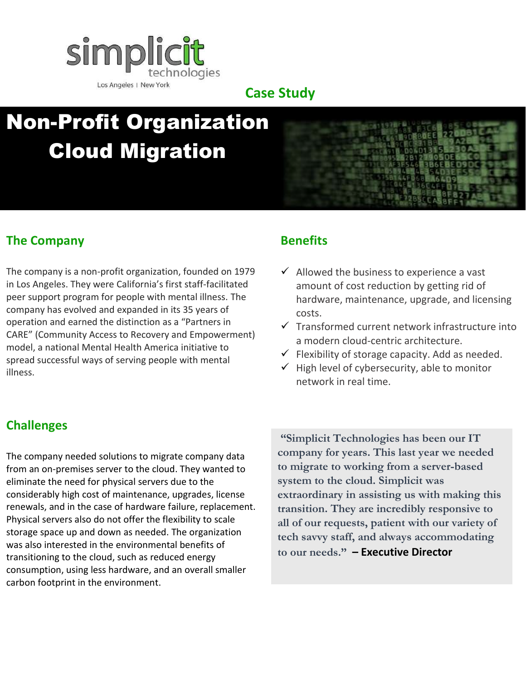

#### **Case Study**

# Non-Profit Organization Cloud Migration



The company is a non-profit organization, founded on 1979 in Los Angeles. They were California's first staff-facilitated peer support program for people with mental illness. The company has evolved and expanded in its 35 years of operation and earned the distinction as a "Partners in CARE" (Community Access to Recovery and Empowerment) model, a national Mental Health America initiative to spread successful ways of serving people with mental illness.

## **Benefits**

- $\checkmark$  Allowed the business to experience a vast amount of cost reduction by getting rid of hardware, maintenance, upgrade, and licensing costs.
- $\checkmark$  Transformed current network infrastructure into a modern cloud-centric architecture.
- $\checkmark$  Flexibility of storage capacity. Add as needed.
- $\checkmark$  High level of cybersecurity, able to monitor network in real time.

## **Challenges**

The company needed solutions to migrate company data from an on-premises server to the cloud. They wanted to eliminate the need for physical servers due to the considerably high cost of maintenance, upgrades, license renewals, and in the case of hardware failure, replacement. Physical servers also do not offer the flexibility to scale storage space up and down as needed. The organization was also interested in the environmental benefits of transitioning to the cloud, such as reduced energy consumption, using less hardware, and an overall smaller carbon footprint in the environment.

**"Simplicit Technologies has been our IT company for years. This last year we needed to migrate to working from a server-based system to the cloud. Simplicit was extraordinary in assisting us with making this transition. They are incredibly responsive to all of our requests, patient with our variety of tech savvy staff, and always accommodating to our needs." – Executive Director**